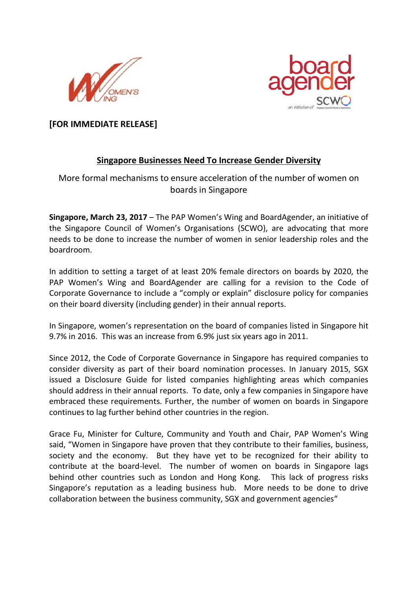



**[FOR IMMEDIATE RELEASE]** 

## **Singapore Businesses Need To Increase Gender Diversity**

# More formal mechanisms to ensure acceleration of the number of women on boards in Singapore

**Singapore, March 23, 2017** – The PAP Women's Wing and BoardAgender, an initiative of the Singapore Council of Women's Organisations (SCWO), are advocating that more needs to be done to increase the number of women in senior leadership roles and the boardroom.

In addition to setting a target of at least 20% female directors on boards by 2020, the PAP Women's Wing and BoardAgender are calling for a revision to the Code of Corporate Governance to include a "comply or explain" disclosure policy for companies on their board diversity (including gender) in their annual reports.

In Singapore, women's representation on the board of companies listed in Singapore hit 9.7% in 2016. This was an increase from 6.9% just six years ago in 2011.

Since 2012, the Code of Corporate Governance in Singapore has required companies to consider diversity as part of their board nomination processes. In January 2015, SGX issued a Disclosure Guide for listed companies highlighting areas which companies should address in their annual reports. To date, only a few companies in Singapore have embraced these requirements. Further, the number of women on boards in Singapore continues to lag further behind other countries in the region.

Grace Fu, Minister for Culture, Community and Youth and Chair, PAP Women's Wing said, "Women in Singapore have proven that they contribute to their families, business, society and the economy. But they have yet to be recognized for their ability to contribute at the board-level. The number of women on boards in Singapore lags behind other countries such as London and Hong Kong. This lack of progress risks Singapore's reputation as a leading business hub. More needs to be done to drive collaboration between the business community, SGX and government agencies"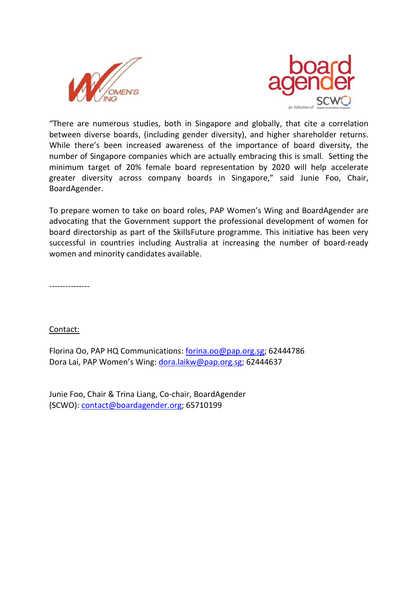



"There are numerous studies, both in Singapore and globally, that cite a correlation between diverse boards, (including gender diversity), and higher shareholder returns. While there's been increased awareness of the importance of board diversity, the number of Singapore companies which are actually embracing this is small. Setting the minimum target of 20% female board representation by 2020 will help accelerate greater diversity across company boards in Singapore," said Junie Foo, Chair, BoardAgender.

To prepare women to take on board roles, PAP Women's Wing and BoardAgender are advocating that the Government support the professional development of women for board directorship as part of the SkillsFuture programme. This initiative has been very successful in countries including Australia at increasing the number of board-ready women and minority candidates available.

---------------

Contact:

Florina Oo, PAP HQ Communications: forina.oo@pap.org.sg; 62444786 Dora Lai, PAP Women's Wing: dora.laikw@pap.org.sg; 62444637

Junie Foo, Chair & Trina Liang, Co-chair, BoardAgender (SCWO): contact@boardagender.org; 65710199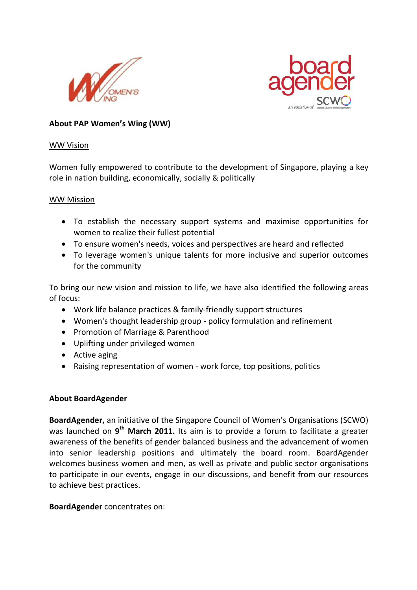



## **About PAP Women's Wing (WW)**

#### WW Vision

Women fully empowered to contribute to the development of Singapore, playing a key role in nation building, economically, socially & politically

#### WW Mission

- To establish the necessary support systems and maximise opportunities for women to realize their fullest potential
- To ensure women's needs, voices and perspectives are heard and reflected
- To leverage women's unique talents for more inclusive and superior outcomes for the community

To bring our new vision and mission to life, we have also identified the following areas of focus:

- Work life balance practices & family-friendly support structures
- Women's thought leadership group policy formulation and refinement
- Promotion of Marriage & Parenthood
- Uplifting under privileged women
- Active aging
- Raising representation of women work force, top positions, politics

### **About BoardAgender**

**BoardAgender,** an initiative of the Singapore Council of Women's Organisations (SCWO) was launched on 9<sup>th</sup> March 2011. Its aim is to provide a forum to facilitate a greater awareness of the benefits of gender balanced business and the advancement of women into senior leadership positions and ultimately the board room. BoardAgender welcomes business women and men, as well as private and public sector organisations to participate in our events, engage in our discussions, and benefit from our resources to achieve best practices.

#### **BoardAgender** concentrates on: